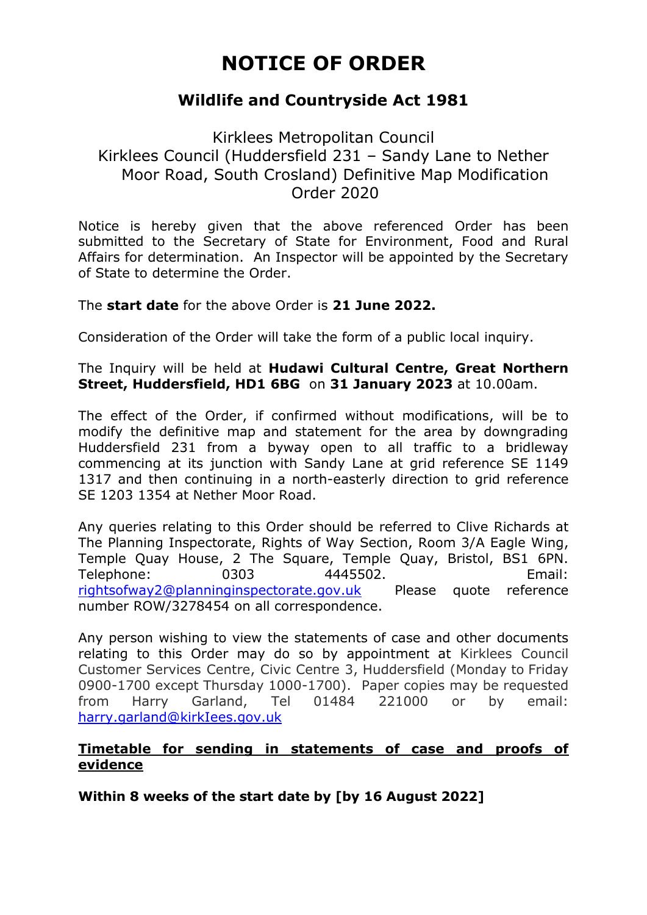# **NOTICE OF ORDER**

# **Wildlife and Countryside Act 1981**

## Kirklees Metropolitan Council Kirklees Council (Huddersfield 231 – Sandy Lane to Nether Moor Road, South Crosland) Definitive Map Modification Order 2020

Notice is hereby given that the above referenced Order has been submitted to the Secretary of State for Environment, Food and Rural Affairs for determination. An Inspector will be appointed by the Secretary of State to determine the Order.

The **start date** for the above Order is **21 June 2022.**

Consideration of the Order will take the form of a public local inquiry.

The Inquiry will be held at **Hudawi Cultural Centre, Great Northern Street, Huddersfield, HD1 6BG** on **31 January 2023** at 10.00am.

The effect of the Order, if confirmed without modifications, will be to modify the definitive map and statement for the area by downgrading Huddersfield 231 from a byway open to all traffic to a bridleway commencing at its junction with Sandy Lane at grid reference SE 1149 1317 and then continuing in a north-easterly direction to grid reference SE 1203 1354 at Nether Moor Road.

Any queries relating to this Order should be referred to Clive Richards at The Planning Inspectorate, Rights of Way Section, Room 3/A Eagle Wing, Temple Quay House, 2 The Square, Temple Quay, Bristol, BS1 6PN. Telephone: 0303 4445502. Email: [rightsofway2@planninginspectorate.gov.uk](mailto:rightsofway2@planninginspectorate.gov.uk) Please quote reference number ROW/3278454 on all correspondence.

Any person wishing to view the statements of case and other documents relating to this Order may do so by appointment at Kirklees Council Customer Services Centre, Civic Centre 3, Huddersfield (Monday to Friday 0900-1700 except Thursday 1000-1700). Paper copies may be requested from Harry Garland, Tel 01484 221000 or by email: [harry.garland@kirkIees.gov.uk](mailto:harry.garland@kirkIees.gov.uk)

#### **Timetable for sending in statements of case and proofs of evidence**

**Within 8 weeks of the start date by [by 16 August 2022]**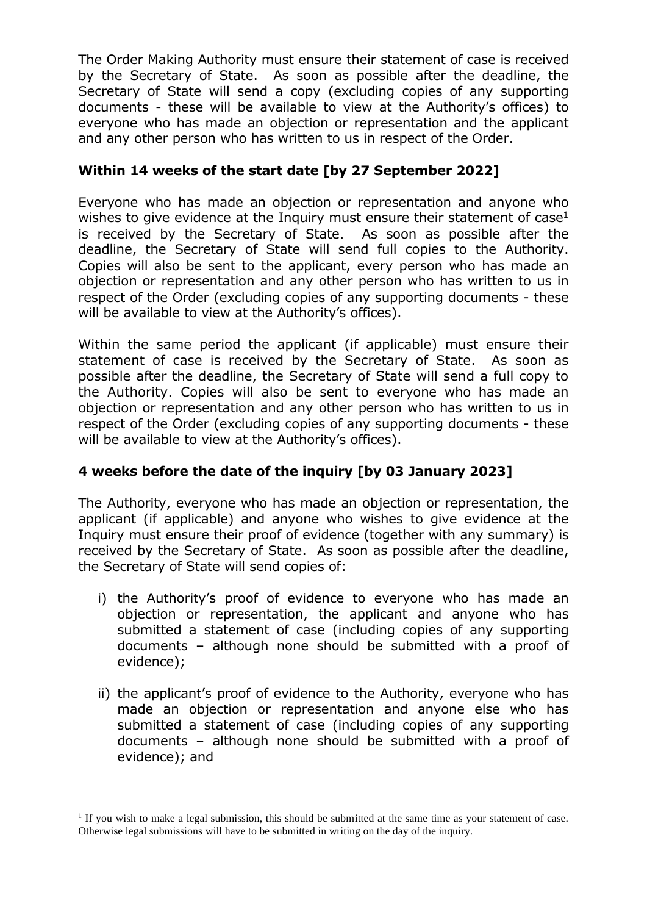The Order Making Authority must ensure their statement of case is received by the Secretary of State. As soon as possible after the deadline, the Secretary of State will send a copy (excluding copies of any supporting documents - these will be available to view at the Authority's offices) to everyone who has made an objection or representation and the applicant and any other person who has written to us in respect of the Order.

### **Within 14 weeks of the start date [by 27 September 2022]**

Everyone who has made an objection or representation and anyone who wishes to give evidence at the Inquiry must ensure their statement of  $case<sup>1</sup>$ is received by the Secretary of State. As soon as possible after the deadline, the Secretary of State will send full copies to the Authority. Copies will also be sent to the applicant, every person who has made an objection or representation and any other person who has written to us in respect of the Order (excluding copies of any supporting documents - these will be available to view at the Authority's offices).

Within the same period the applicant (if applicable) must ensure their statement of case is received by the Secretary of State. As soon as possible after the deadline, the Secretary of State will send a full copy to the Authority. Copies will also be sent to everyone who has made an objection or representation and any other person who has written to us in respect of the Order (excluding copies of any supporting documents - these will be available to view at the Authority's offices).

## **4 weeks before the date of the inquiry [by 03 January 2023]**

The Authority, everyone who has made an objection or representation, the applicant (if applicable) and anyone who wishes to give evidence at the Inquiry must ensure their proof of evidence (together with any summary) is received by the Secretary of State. As soon as possible after the deadline, the Secretary of State will send copies of:

- i) the Authority's proof of evidence to everyone who has made an objection or representation, the applicant and anyone who has submitted a statement of case (including copies of any supporting documents – although none should be submitted with a proof of evidence);
- ii) the applicant's proof of evidence to the Authority, everyone who has made an objection or representation and anyone else who has submitted a statement of case (including copies of any supporting documents – although none should be submitted with a proof of evidence); and

<sup>&</sup>lt;sup>1</sup> If you wish to make a legal submission, this should be submitted at the same time as your statement of case. Otherwise legal submissions will have to be submitted in writing on the day of the inquiry.